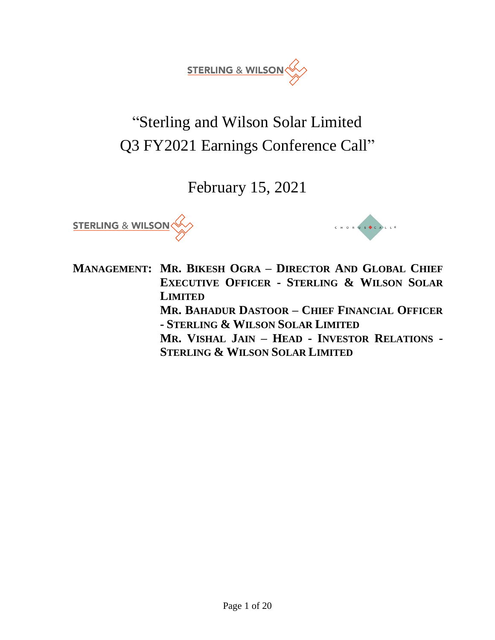

# "Sterling and Wilson Solar Limited Q3 FY2021 Earnings Conference Call"

February 15, 2021





**MANAGEMENT: MR. BIKESH OGRA – DIRECTOR AND GLOBAL CHIEF EXECUTIVE OFFICER - STERLING & WILSON SOLAR LIMITED MR. BAHADUR DASTOOR – CHIEF FINANCIAL OFFICER - STERLING & WILSON SOLAR LIMITED MR. VISHAL JAIN – HEAD - INVESTOR RELATIONS - STERLING & WILSON SOLAR LIMITED**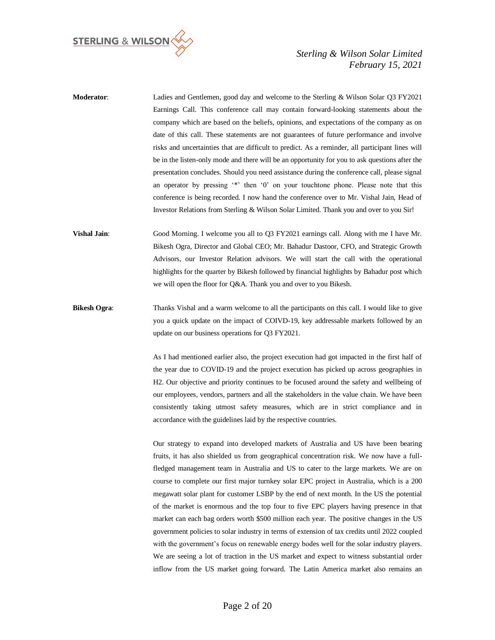

| <b>Moderator:</b> | Ladies and Gentlemen, good day and welcome to the Sterling & Wilson Solar O3 FY2021              |
|-------------------|--------------------------------------------------------------------------------------------------|
|                   | Earnings Call. This conference call may contain forward-looking statements about the             |
|                   | company which are based on the beliefs, opinions, and expectations of the company as on          |
|                   | date of this call. These statements are not guarantees of future performance and involve         |
|                   | risks and uncertainties that are difficult to predict. As a reminder, all participant lines will |
|                   | be in the listen-only mode and there will be an opportunity for you to ask questions after the   |
|                   | presentation concludes. Should you need assistance during the conference call, please signal     |
|                   | an operator by pressing "*" then '0' on your touchtone phone. Please note that this              |
|                   | conference is being recorded. I now hand the conference over to Mr. Vishal Jain, Head of         |
|                   | Investor Relations from Sterling & Wilson Solar Limited. Thank you and over to you Sir!          |
|                   |                                                                                                  |

**Vishal Jain**: Good Morning. I welcome you all to Q3 FY2021 earnings call. Along with me I have Mr. Bikesh Ogra, Director and Global CEO; Mr. Bahadur Dastoor, CFO, and Strategic Growth Advisors, our Investor Relation advisors. We will start the call with the operational highlights for the quarter by Bikesh followed by financial highlights by Bahadur post which we will open the floor for Q&A. Thank you and over to you Bikesh.

**Bikesh Ogra:** Thanks Vishal and a warm welcome to all the participants on this call. I would like to give you a quick update on the impact of COIVD-19, key addressable markets followed by an update on our business operations for Q3 FY2021.

> As I had mentioned earlier also, the project execution had got impacted in the first half of the year due to COVID-19 and the project execution has picked up across geographies in H2. Our objective and priority continues to be focused around the safety and wellbeing of our employees, vendors, partners and all the stakeholders in the value chain. We have been consistently taking utmost safety measures, which are in strict compliance and in accordance with the guidelines laid by the respective countries.

> Our strategy to expand into developed markets of Australia and US have been bearing fruits, it has also shielded us from geographical concentration risk. We now have a fullfledged management team in Australia and US to cater to the large markets. We are on course to complete our first major turnkey solar EPC project in Australia, which is a 200 megawatt solar plant for customer LSBP by the end of next month. In the US the potential of the market is enormous and the top four to five EPC players having presence in that market can each bag orders worth \$500 million each year. The positive changes in the US government policies to solar industry in terms of extension of tax credits until 2022 coupled with the government's focus on renewable energy bodes well for the solar industry players. We are seeing a lot of traction in the US market and expect to witness substantial order inflow from the US market going forward. The Latin America market also remains an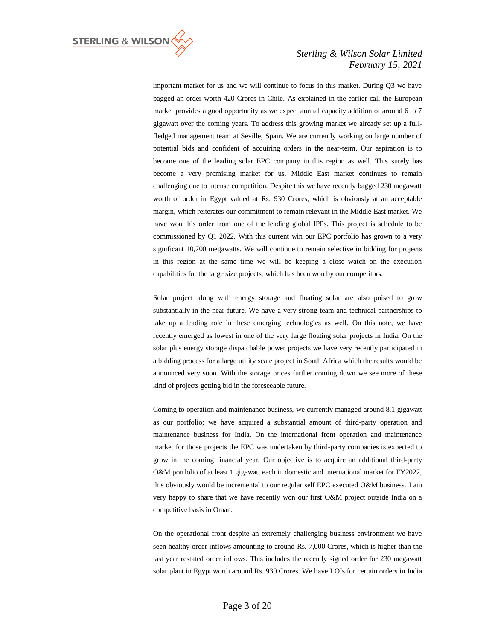

important market for us and we will continue to focus in this market. During Q3 we have bagged an order worth 420 Crores in Chile. As explained in the earlier call the European market provides a good opportunity as we expect annual capacity addition of around 6 to 7 gigawatt over the coming years. To address this growing market we already set up a fullfledged management team at Seville, Spain. We are currently working on large number of potential bids and confident of acquiring orders in the near-term. Our aspiration is to become one of the leading solar EPC company in this region as well. This surely has become a very promising market for us. Middle East market continues to remain challenging due to intense competition. Despite this we have recently bagged 230 megawatt worth of order in Egypt valued at Rs. 930 Crores, which is obviously at an acceptable margin, which reiterates our commitment to remain relevant in the Middle East market. We have won this order from one of the leading global IPPs. This project is schedule to be commissioned by Q1 2022. With this current win our EPC portfolio has grown to a very significant 10,700 megawatts. We will continue to remain selective in bidding for projects in this region at the same time we will be keeping a close watch on the execution capabilities for the large size projects, which has been won by our competitors.

Solar project along with energy storage and floating solar are also poised to grow substantially in the near future. We have a very strong team and technical partnerships to take up a leading role in these emerging technologies as well. On this note, we have recently emerged as lowest in one of the very large floating solar projects in India. On the solar plus energy storage dispatchable power projects we have very recently participated in a bidding process for a large utility scale project in South Africa which the results would be announced very soon. With the storage prices further coming down we see more of these kind of projects getting bid in the foreseeable future.

Coming to operation and maintenance business, we currently managed around 8.1 gigawatt as our portfolio; we have acquired a substantial amount of third-party operation and maintenance business for India. On the international front operation and maintenance market for those projects the EPC was undertaken by third-party companies is expected to grow in the coming financial year. Our objective is to acquire an additional third-party O&M portfolio of at least 1 gigawatt each in domestic and international market for FY2022, this obviously would be incremental to our regular self EPC executed O&M business. I am very happy to share that we have recently won our first O&M project outside India on a competitive basis in Oman.

On the operational front despite an extremely challenging business environment we have seen healthy order inflows amounting to around Rs. 7,000 Crores, which is higher than the last year restated order inflows. This includes the recently signed order for 230 megawatt solar plant in Egypt worth around Rs. 930 Crores. We have LOIs for certain orders in India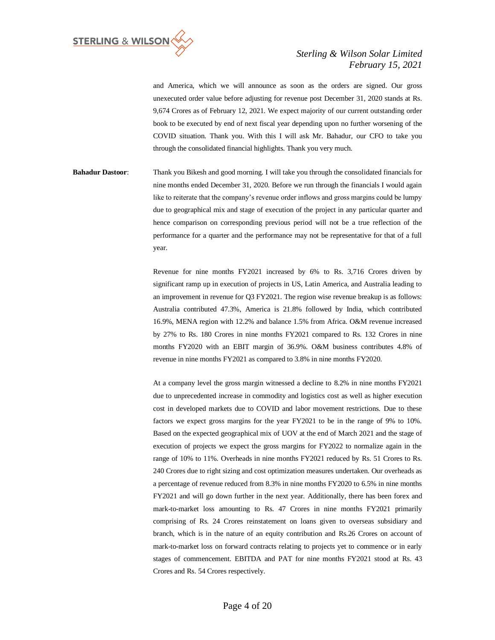

and America, which we will announce as soon as the orders are signed. Our gross unexecuted order value before adjusting for revenue post December 31, 2020 stands at Rs. 9,674 Crores as of February 12, 2021. We expect majority of our current outstanding order book to be executed by end of next fiscal year depending upon no further worsening of the COVID situation. Thank you. With this I will ask Mr. Bahadur, our CFO to take you through the consolidated financial highlights. Thank you very much.

**Bahadur Dastoor**: Thank you Bikesh and good morning. I will take you through the consolidated financials for nine months ended December 31, 2020. Before we run through the financials I would again like to reiterate that the company's revenue order inflows and gross margins could be lumpy due to geographical mix and stage of execution of the project in any particular quarter and hence comparison on corresponding previous period will not be a true reflection of the performance for a quarter and the performance may not be representative for that of a full year.

> Revenue for nine months FY2021 increased by 6% to Rs. 3,716 Crores driven by significant ramp up in execution of projects in US, Latin America, and Australia leading to an improvement in revenue for Q3 FY2021. The region wise revenue breakup is as follows: Australia contributed 47.3%, America is 21.8% followed by India, which contributed 16.9%, MENA region with 12.2% and balance 1.5% from Africa. O&M revenue increased by 27% to Rs. 180 Crores in nine months FY2021 compared to Rs. 132 Crores in nine months FY2020 with an EBIT margin of 36.9%. O&M business contributes 4.8% of revenue in nine months FY2021 as compared to 3.8% in nine months FY2020.

> At a company level the gross margin witnessed a decline to 8.2% in nine months FY2021 due to unprecedented increase in commodity and logistics cost as well as higher execution cost in developed markets due to COVID and labor movement restrictions. Due to these factors we expect gross margins for the year FY2021 to be in the range of 9% to 10%. Based on the expected geographical mix of UOV at the end of March 2021 and the stage of execution of projects we expect the gross margins for FY2022 to normalize again in the range of 10% to 11%. Overheads in nine months FY2021 reduced by Rs. 51 Crores to Rs. 240 Crores due to right sizing and cost optimization measures undertaken. Our overheads as a percentage of revenue reduced from 8.3% in nine months FY2020 to 6.5% in nine months FY2021 and will go down further in the next year. Additionally, there has been forex and mark-to-market loss amounting to Rs. 47 Crores in nine months FY2021 primarily comprising of Rs. 24 Crores reinstatement on loans given to overseas subsidiary and branch, which is in the nature of an equity contribution and Rs.26 Crores on account of mark-to-market loss on forward contracts relating to projects yet to commence or in early stages of commencement. EBITDA and PAT for nine months FY2021 stood at Rs. 43 Crores and Rs. 54 Crores respectively.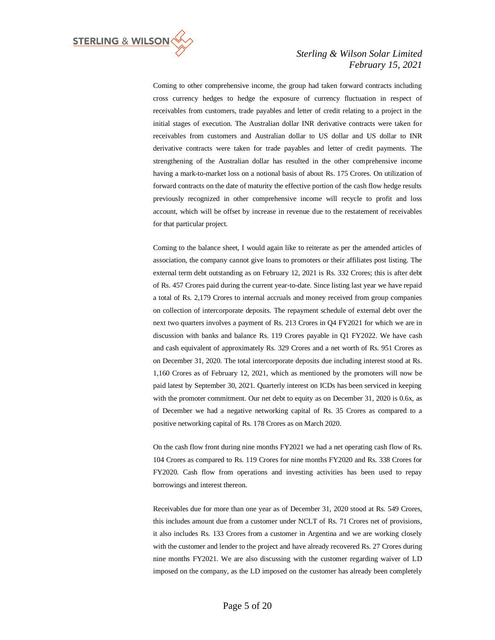

Coming to other comprehensive income, the group had taken forward contracts including cross currency hedges to hedge the exposure of currency fluctuation in respect of receivables from customers, trade payables and letter of credit relating to a project in the initial stages of execution. The Australian dollar INR derivative contracts were taken for receivables from customers and Australian dollar to US dollar and US dollar to INR derivative contracts were taken for trade payables and letter of credit payments. The strengthening of the Australian dollar has resulted in the other comprehensive income having a mark-to-market loss on a notional basis of about Rs. 175 Crores. On utilization of forward contracts on the date of maturity the effective portion of the cash flow hedge results previously recognized in other comprehensive income will recycle to profit and loss account, which will be offset by increase in revenue due to the restatement of receivables for that particular project.

Coming to the balance sheet, I would again like to reiterate as per the amended articles of association, the company cannot give loans to promoters or their affiliates post listing. The external term debt outstanding as on February 12, 2021 is Rs. 332 Crores; this is after debt of Rs. 457 Crores paid during the current year-to-date. Since listing last year we have repaid a total of Rs. 2,179 Crores to internal accruals and money received from group companies on collection of intercorporate deposits. The repayment schedule of external debt over the next two quarters involves a payment of Rs. 213 Crores in Q4 FY2021 for which we are in discussion with banks and balance Rs. 119 Crores payable in Q1 FY2022. We have cash and cash equivalent of approximately Rs. 329 Crores and a net worth of Rs. 951 Crores as on December 31, 2020. The total intercorporate deposits due including interest stood at Rs. 1,160 Crores as of February 12, 2021, which as mentioned by the promoters will now be paid latest by September 30, 2021. Quarterly interest on ICDs has been serviced in keeping with the promoter commitment. Our net debt to equity as on December 31, 2020 is 0.6x, as of December we had a negative networking capital of Rs. 35 Crores as compared to a positive networking capital of Rs. 178 Crores as on March 2020.

On the cash flow front during nine months FY2021 we had a net operating cash flow of Rs. 104 Crores as compared to Rs. 119 Crores for nine months FY2020 and Rs. 338 Crores for FY2020. Cash flow from operations and investing activities has been used to repay borrowings and interest thereon.

Receivables due for more than one year as of December 31, 2020 stood at Rs. 549 Crores, this includes amount due from a customer under NCLT of Rs. 71 Crores net of provisions, it also includes Rs. 133 Crores from a customer in Argentina and we are working closely with the customer and lender to the project and have already recovered Rs. 27 Crores during nine months FY2021. We are also discussing with the customer regarding waiver of LD imposed on the company, as the LD imposed on the customer has already been completely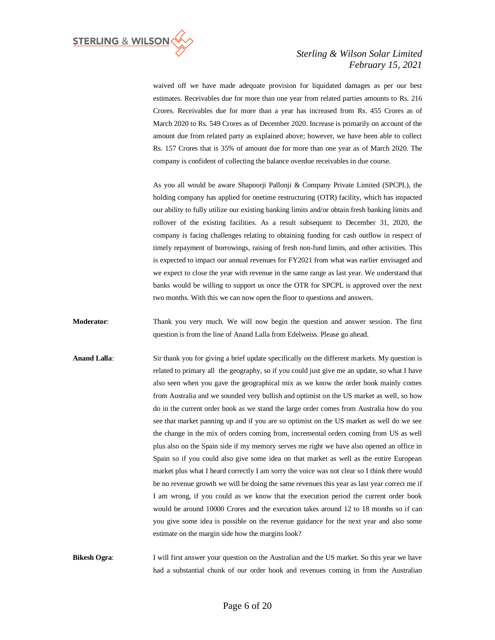

waived off we have made adequate provision for liquidated damages as per our best estimates. Receivables due for more than one year from related parties amounts to Rs. 216 Crores. Receivables due for more than a year has increased from Rs. 455 Crores as of March 2020 to Rs. 549 Crores as of December 2020. Increase is primarily on account of the amount due from related party as explained above; however, we have been able to collect Rs. 157 Crores that is 35% of amount due for more than one year as of March 2020. The company is confident of collecting the balance overdue receivables in due course.

As you all would be aware Shapoorji Pallonji & Company Private Limited (SPCPL), the holding company has applied for onetime restructuring (OTR) facility, which has impacted our ability to fully utilize our existing banking limits and/or obtain fresh banking limits and rollover of the existing facilities. As a result subsequent to December 31, 2020, the company is facing challenges relating to obtaining funding for cash outflow in respect of timely repayment of borrowings, raising of fresh non-fund limits, and other activities. This is expected to impact our annual revenues for FY2021 from what was earlier envisaged and we expect to close the year with revenue in the same range as last year. We understand that banks would be willing to support us once the OTR for SPCPL is approved over the next two months. With this we can now open the floor to questions and answers.

**Moderator:** Thank you very much. We will now begin the question and answer session. The first question is from the line of Anand Lalla from Edelweiss. Please go ahead.

**Anand Lalla**: Sir thank you for giving a brief update specifically on the different markets. My question is related to primary all the geography, so if you could just give me an update, so what I have also seen when you gave the geographical mix as we know the order book mainly comes from Australia and we sounded very bullish and optimist on the US market as well, so how do in the current order book as we stand the large order comes from Australia how do you see that market panning up and if you are so optimist on the US market as well do we see the change in the mix of orders coming from, incremental orders coming from US as well plus also on the Spain side if my memory serves me right we have also opened an office in Spain so if you could also give some idea on that market as well as the entire European market plus what I heard correctly I am sorry the voice was not clear so I think there would be no revenue growth we will be doing the same revenues this year as last year correct me if I am wrong, if you could as we know that the execution period the current order book would be around 10000 Crores and the execution takes around 12 to 18 months so if can you give some idea is possible on the revenue guidance for the next year and also some estimate on the margin side how the margins look?

**Bikesh Ogra:** I will first answer your question on the Australian and the US market. So this year we have had a substantial chunk of our order book and revenues coming in from the Australian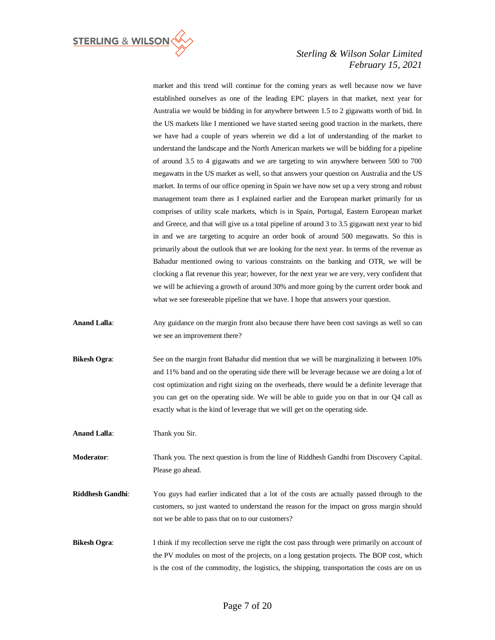

market and this trend will continue for the coming years as well because now we have established ourselves as one of the leading EPC players in that market, next year for Australia we would be bidding in for anywhere between 1.5 to 2 gigawatts worth of bid. In the US markets like I mentioned we have started seeing good traction in the markets, there we have had a couple of years wherein we did a lot of understanding of the market to understand the landscape and the North American markets we will be bidding for a pipeline of around 3.5 to 4 gigawatts and we are targeting to win anywhere between 500 to 700 megawatts in the US market as well, so that answers your question on Australia and the US market. In terms of our office opening in Spain we have now set up a very strong and robust management team there as I explained earlier and the European market primarily for us comprises of utility scale markets, which is in Spain, Portugal, Eastern European market and Greece, and that will give us a total pipeline of around 3 to 3.5 gigawatt next year to bid in and we are targeting to acquire an order book of around 500 megawatts. So this is primarily about the outlook that we are looking for the next year. In terms of the revenue as Bahadur mentioned owing to various constraints on the banking and OTR, we will be clocking a flat revenue this year; however, for the next year we are very, very confident that we will be achieving a growth of around 30% and more going by the current order book and what we see foreseeable pipeline that we have. I hope that answers your question.

- Anand Lalla: Any guidance on the margin front also because there have been cost savings as well so can we see an improvement there?
- **Bikesh Ogra:** See on the margin front Bahadur did mention that we will be marginalizing it between 10% and 11% band and on the operating side there will be leverage because we are doing a lot of cost optimization and right sizing on the overheads, there would be a definite leverage that you can get on the operating side. We will be able to guide you on that in our Q4 call as exactly what is the kind of leverage that we will get on the operating side.

**Anand Lalla**: Thank you Sir.

**Moderator**: Thank you. The next question is from the line of Riddhesh Gandhi from Discovery Capital. Please go ahead.

- **Riddhesh Gandhi**: You guys had earlier indicated that a lot of the costs are actually passed through to the customers, so just wanted to understand the reason for the impact on gross margin should not we be able to pass that on to our customers?
- **Bikesh Ogra:** I think if my recollection serve me right the cost pass through were primarily on account of the PV modules on most of the projects, on a long gestation projects. The BOP cost, which is the cost of the commodity, the logistics, the shipping, transportation the costs are on us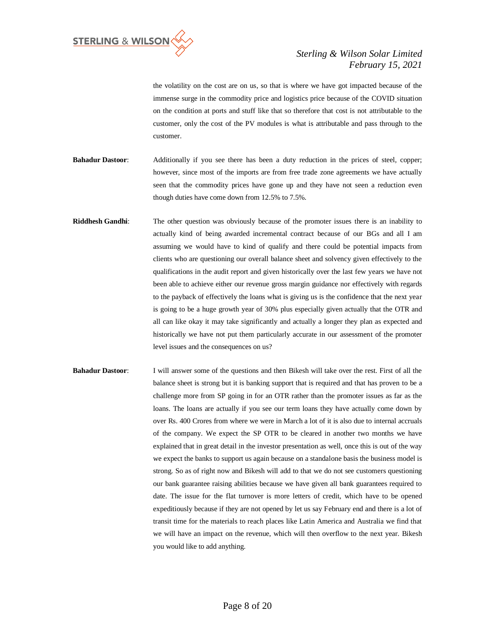

the volatility on the cost are on us, so that is where we have got impacted because of the immense surge in the commodity price and logistics price because of the COVID situation on the condition at ports and stuff like that so therefore that cost is not attributable to the customer, only the cost of the PV modules is what is attributable and pass through to the customer.

- **Bahadur Dastoor**: Additionally if you see there has been a duty reduction in the prices of steel, copper; however, since most of the imports are from free trade zone agreements we have actually seen that the commodity prices have gone up and they have not seen a reduction even though duties have come down from 12.5% to 7.5%.
- **Riddhesh Gandhi**: The other question was obviously because of the promoter issues there is an inability to actually kind of being awarded incremental contract because of our BGs and all I am assuming we would have to kind of qualify and there could be potential impacts from clients who are questioning our overall balance sheet and solvency given effectively to the qualifications in the audit report and given historically over the last few years we have not been able to achieve either our revenue gross margin guidance nor effectively with regards to the payback of effectively the loans what is giving us is the confidence that the next year is going to be a huge growth year of 30% plus especially given actually that the OTR and all can like okay it may take significantly and actually a longer they plan as expected and historically we have not put them particularly accurate in our assessment of the promoter level issues and the consequences on us?
- **Bahadur Dastoor:** I will answer some of the questions and then Bikesh will take over the rest. First of all the balance sheet is strong but it is banking support that is required and that has proven to be a challenge more from SP going in for an OTR rather than the promoter issues as far as the loans. The loans are actually if you see our term loans they have actually come down by over Rs. 400 Crores from where we were in March a lot of it is also due to internal accruals of the company. We expect the SP OTR to be cleared in another two months we have explained that in great detail in the investor presentation as well, once this is out of the way we expect the banks to support us again because on a standalone basis the business model is strong. So as of right now and Bikesh will add to that we do not see customers questioning our bank guarantee raising abilities because we have given all bank guarantees required to date. The issue for the flat turnover is more letters of credit, which have to be opened expeditiously because if they are not opened by let us say February end and there is a lot of transit time for the materials to reach places like Latin America and Australia we find that we will have an impact on the revenue, which will then overflow to the next year. Bikesh you would like to add anything.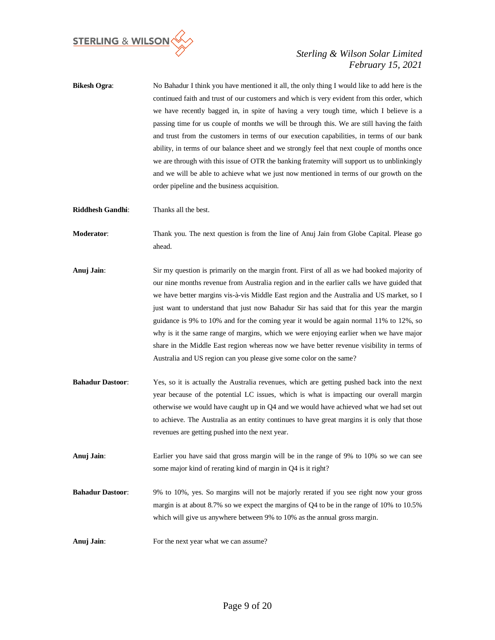

- **Bikesh Ogra**: No Bahadur I think you have mentioned it all, the only thing I would like to add here is the continued faith and trust of our customers and which is very evident from this order, which we have recently bagged in, in spite of having a very tough time, which I believe is a passing time for us couple of months we will be through this. We are still having the faith and trust from the customers in terms of our execution capabilities, in terms of our bank ability, in terms of our balance sheet and we strongly feel that next couple of months once we are through with this issue of OTR the banking fraternity will support us to unblinkingly and we will be able to achieve what we just now mentioned in terms of our growth on the order pipeline and the business acquisition.
- **Riddhesh Gandhi**: Thanks all the best.
- **Moderator**: Thank you. The next question is from the line of Anuj Jain from Globe Capital. Please go ahead.
- **Anuj Jain**: Sir my question is primarily on the margin front. First of all as we had booked majority of our nine months revenue from Australia region and in the earlier calls we have guided that we have better margins vis-à-vis Middle East region and the Australia and US market, so I just want to understand that just now Bahadur Sir has said that for this year the margin guidance is 9% to 10% and for the coming year it would be again normal 11% to 12%, so why is it the same range of margins, which we were enjoying earlier when we have major share in the Middle East region whereas now we have better revenue visibility in terms of Australia and US region can you please give some color on the same?
- **Bahadur Dastoor**: Yes, so it is actually the Australia revenues, which are getting pushed back into the next year because of the potential LC issues, which is what is impacting our overall margin otherwise we would have caught up in Q4 and we would have achieved what we had set out to achieve. The Australia as an entity continues to have great margins it is only that those revenues are getting pushed into the next year.
- **Anuj Jain**: Earlier you have said that gross margin will be in the range of 9% to 10% so we can see some major kind of rerating kind of margin in Q4 is it right?
- **Bahadur Dastoor**: 9% to 10%, yes. So margins will not be majorly rerated if you see right now your gross margin is at about 8.7% so we expect the margins of Q4 to be in the range of 10% to 10.5% which will give us anywhere between 9% to 10% as the annual gross margin.
- Anuj Jain: For the next year what we can assume?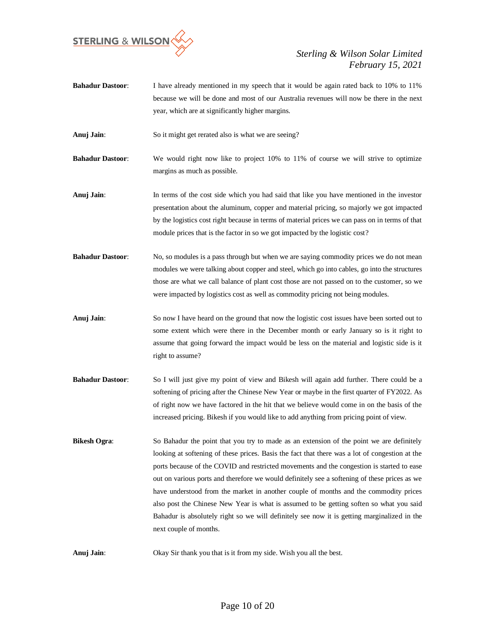

**Bahadur Dastoor**: I have already mentioned in my speech that it would be again rated back to 10% to 11% because we will be done and most of our Australia revenues will now be there in the next year, which are at significantly higher margins.

**Anuj Jain:** So it might get rerated also is what we are seeing?

**Bahadur Dastoor**: We would right now like to project 10% to 11% of course we will strive to optimize margins as much as possible.

**Anuj Jain**: In terms of the cost side which you had said that like you have mentioned in the investor presentation about the aluminum, copper and material pricing, so majorly we got impacted by the logistics cost right because in terms of material prices we can pass on in terms of that module prices that is the factor in so we got impacted by the logistic cost?

- **Bahadur Dastoor:** No, so modules is a pass through but when we are saying commodity prices we do not mean modules we were talking about copper and steel, which go into cables, go into the structures those are what we call balance of plant cost those are not passed on to the customer, so we were impacted by logistics cost as well as commodity pricing not being modules.
- **Anuj Jain**: So now I have heard on the ground that now the logistic cost issues have been sorted out to some extent which were there in the December month or early January so is it right to assume that going forward the impact would be less on the material and logistic side is it right to assume?
- **Bahadur Dastoor:** So I will just give my point of view and Bikesh will again add further. There could be a softening of pricing after the Chinese New Year or maybe in the first quarter of FY2022. As of right now we have factored in the hit that we believe would come in on the basis of the increased pricing. Bikesh if you would like to add anything from pricing point of view.
- **Bikesh Ogra:** So Bahadur the point that you try to made as an extension of the point we are definitely looking at softening of these prices. Basis the fact that there was a lot of congestion at the ports because of the COVID and restricted movements and the congestion is started to ease out on various ports and therefore we would definitely see a softening of these prices as we have understood from the market in another couple of months and the commodity prices also post the Chinese New Year is what is assumed to be getting soften so what you said Bahadur is absolutely right so we will definitely see now it is getting marginalized in the next couple of months.

**Anuj Jain**: Okay Sir thank you that is it from my side. Wish you all the best.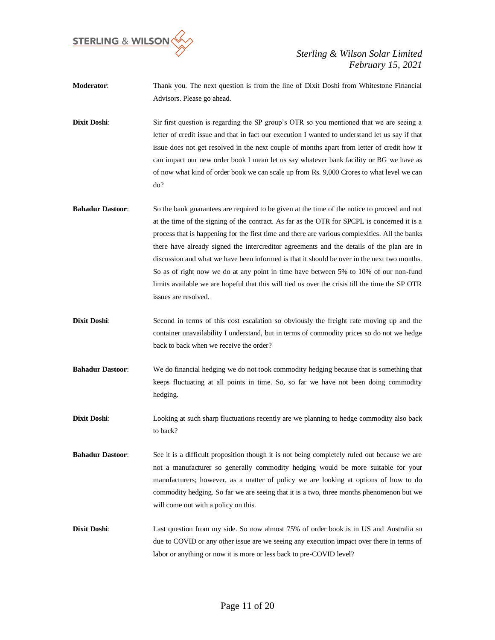

**Moderator**: Thank you. The next question is from the line of Dixit Doshi from Whitestone Financial Advisors. Please go ahead.

**Dixit Doshi**: Sir first question is regarding the SP group's OTR so you mentioned that we are seeing a letter of credit issue and that in fact our execution I wanted to understand let us say if that issue does not get resolved in the next couple of months apart from letter of credit how it can impact our new order book I mean let us say whatever bank facility or BG we have as of now what kind of order book we can scale up from Rs. 9,000 Crores to what level we can do?

- **Bahadur Dastoor:** So the bank guarantees are required to be given at the time of the notice to proceed and not at the time of the signing of the contract. As far as the OTR for SPCPL is concerned it is a process that is happening for the first time and there are various complexities. All the banks there have already signed the intercreditor agreements and the details of the plan are in discussion and what we have been informed is that it should be over in the next two months. So as of right now we do at any point in time have between 5% to 10% of our non-fund limits available we are hopeful that this will tied us over the crisis till the time the SP OTR issues are resolved.
- **Dixit Doshi:** Second in terms of this cost escalation so obviously the freight rate moving up and the container unavailability I understand, but in terms of commodity prices so do not we hedge back to back when we receive the order?
- **Bahadur Dastoor**: We do financial hedging we do not took commodity hedging because that is something that keeps fluctuating at all points in time. So, so far we have not been doing commodity hedging.
- **Dixit Doshi:** Looking at such sharp fluctuations recently are we planning to hedge commodity also back to back?
- **Bahadur Dastoor:** See it is a difficult proposition though it is not being completely ruled out because we are not a manufacturer so generally commodity hedging would be more suitable for your manufacturers; however, as a matter of policy we are looking at options of how to do commodity hedging. So far we are seeing that it is a two, three months phenomenon but we will come out with a policy on this.
- **Dixit Doshi:** Last question from my side. So now almost 75% of order book is in US and Australia so due to COVID or any other issue are we seeing any execution impact over there in terms of labor or anything or now it is more or less back to pre-COVID level?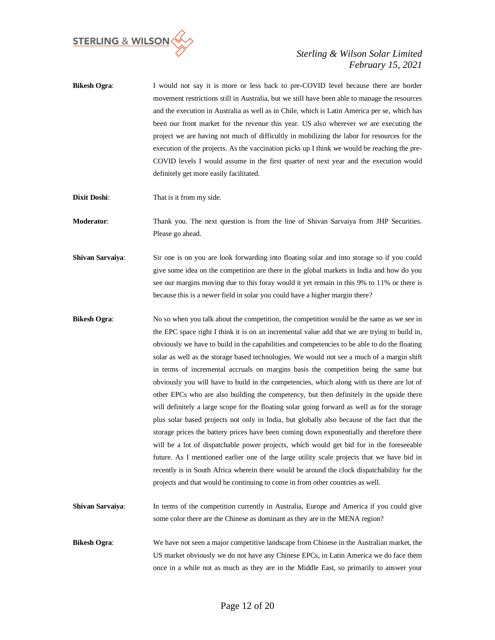

- **Bikesh Ogra:** I would not say it is more or less back to pre-COVID level because there are border movement restrictions still in Australia, but we still have been able to manage the resources and the execution in Australia as well as in Chile, which is Latin America per se, which has been our front market for the revenue this year. US also wherever we are executing the project we are having not much of difficultly in mobilizing the labor for resources for the execution of the projects. As the vaccination picks up I think we would be reaching the pre-COVID levels I would assume in the first quarter of next year and the execution would definitely get more easily facilitated.
- **Dixit Doshi**: That is it from my side.

**Moderator:** Thank you. The next question is from the line of Shivan Sarvaiya from JHP Securities. Please go ahead.

- **Shivan Sarvaiya:** Sir one is on you are look forwarding into floating solar and into storage so if you could give some idea on the competition are there in the global markets in India and how do you see our margins moving due to this foray would it yet remain in this 9% to 11% or there is because this is a newer field in solar you could have a higher margin there?
- **Bikesh Ogra:** No so when you talk about the competition, the competition would be the same as we see in the EPC space right I think it is on an incremental value add that we are trying to build in, obviously we have to build in the capabilities and competencies to be able to do the floating solar as well as the storage based technologies. We would not see a much of a margin shift in terms of incremental accruals on margins basis the competition being the same but obviously you will have to build in the competencies, which along with us there are lot of other EPCs who are also building the competency, but then definitely in the upside there will definitely a large scope for the floating solar going forward as well as for the storage plus solar based projects not only in India, but globally also because of the fact that the storage prices the battery prices have been coming down exponentially and therefore there will be a lot of dispatchable power projects, which would get bid for in the foreseeable future. As I mentioned earlier one of the large utility scale projects that we have bid in recently is in South Africa wherein there would be around the clock dispatchability for the projects and that would be continuing to come in from other countries as well.
- **Shivan Sarvaiya:** In terms of the competition currently in Australia, Europe and America if you could give some color there are the Chinese as dominant as they are in the MENA region?
- **Bikesh Ogra:** We have not seen a major competitive landscape from Chinese in the Australian market, the US market obviously we do not have any Chinese EPCs, in Latin America we do face them once in a while not as much as they are in the Middle East, so primarily to answer your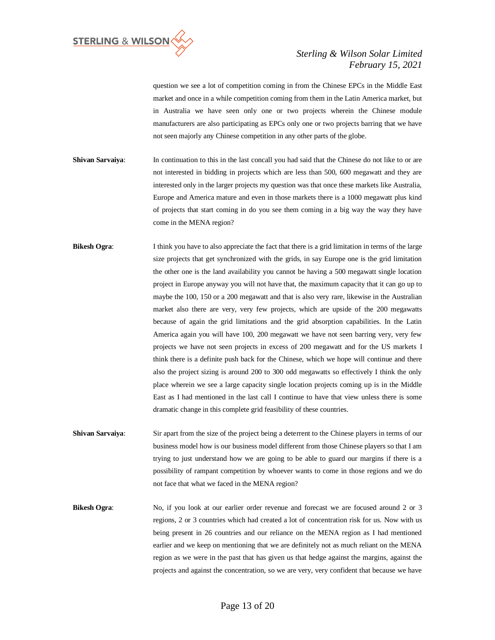

question we see a lot of competition coming in from the Chinese EPCs in the Middle East market and once in a while competition coming from them in the Latin America market, but in Australia we have seen only one or two projects wherein the Chinese module manufacturers are also participating as EPCs only one or two projects barring that we have not seen majorly any Chinese competition in any other parts of the globe.

- **Shivan Sarvaiya:** In continuation to this in the last concall you had said that the Chinese do not like to or are not interested in bidding in projects which are less than 500, 600 megawatt and they are interested only in the larger projects my question was that once these markets like Australia, Europe and America mature and even in those markets there is a 1000 megawatt plus kind of projects that start coming in do you see them coming in a big way the way they have come in the MENA region?
- **Bikesh Ogra:** I think you have to also appreciate the fact that there is a grid limitation in terms of the large size projects that get synchronized with the grids, in say Europe one is the grid limitation the other one is the land availability you cannot be having a 500 megawatt single location project in Europe anyway you will not have that, the maximum capacity that it can go up to maybe the 100, 150 or a 200 megawatt and that is also very rare, likewise in the Australian market also there are very, very few projects, which are upside of the 200 megawatts because of again the grid limitations and the grid absorption capabilities. In the Latin America again you will have 100, 200 megawatt we have not seen barring very, very few projects we have not seen projects in excess of 200 megawatt and for the US markets I think there is a definite push back for the Chinese, which we hope will continue and there also the project sizing is around 200 to 300 odd megawatts so effectively I think the only place wherein we see a large capacity single location projects coming up is in the Middle East as I had mentioned in the last call I continue to have that view unless there is some dramatic change in this complete grid feasibility of these countries.
- **Shivan Sarvaiya:** Sir apart from the size of the project being a deterrent to the Chinese players in terms of our business model how is our business model different from those Chinese players so that I am trying to just understand how we are going to be able to guard our margins if there is a possibility of rampant competition by whoever wants to come in those regions and we do not face that what we faced in the MENA region?
- **Bikesh Ogra:** No, if you look at our earlier order revenue and forecast we are focused around 2 or 3 regions, 2 or 3 countries which had created a lot of concentration risk for us. Now with us being present in 26 countries and our reliance on the MENA region as I had mentioned earlier and we keep on mentioning that we are definitely not as much reliant on the MENA region as we were in the past that has given us that hedge against the margins, against the projects and against the concentration, so we are very, very confident that because we have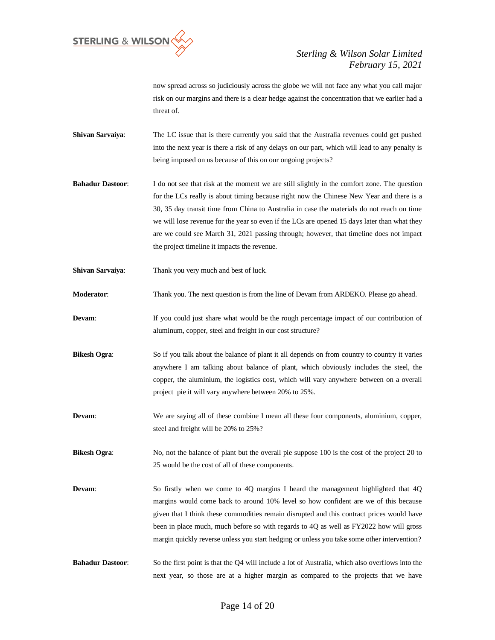

now spread across so judiciously across the globe we will not face any what you call major risk on our margins and there is a clear hedge against the concentration that we earlier had a threat of.

- **Shivan Sarvaiya:** The LC issue that is there currently you said that the Australia revenues could get pushed into the next year is there a risk of any delays on our part, which will lead to any penalty is being imposed on us because of this on our ongoing projects?
- **Bahadur Dastoor:** I do not see that risk at the moment we are still slightly in the comfort zone. The question for the LCs really is about timing because right now the Chinese New Year and there is a 30, 35 day transit time from China to Australia in case the materials do not reach on time we will lose revenue for the year so even if the LCs are opened 15 days later than what they are we could see March 31, 2021 passing through; however, that timeline does not impact the project timeline it impacts the revenue.
- **Shivan Sarvaiya**: Thank you very much and best of luck.
- **Moderator**: Thank you. The next question is from the line of Devam from ARDEKO. Please go ahead.
- **Devam:** If you could just share what would be the rough percentage impact of our contribution of aluminum, copper, steel and freight in our cost structure?
- **Bikesh Ogra:** So if you talk about the balance of plant it all depends on from country to country it varies anywhere I am talking about balance of plant, which obviously includes the steel, the copper, the aluminium, the logistics cost, which will vary anywhere between on a overall project pie it will vary anywhere between 20% to 25%.
- **Devam:** We are saying all of these combine I mean all these four components, aluminium, copper, steel and freight will be 20% to 25%?
- **Bikesh Ogra:** No, not the balance of plant but the overall pie suppose 100 is the cost of the project 20 to 25 would be the cost of all of these components.
- **Devam:** So firstly when we come to 4Q margins I heard the management highlighted that 4Q margins would come back to around 10% level so how confident are we of this because given that I think these commodities remain disrupted and this contract prices would have been in place much, much before so with regards to 4Q as well as FY2022 how will gross margin quickly reverse unless you start hedging or unless you take some other intervention?
- **Bahadur Dastoor**: So the first point is that the Q4 will include a lot of Australia, which also overflows into the next year, so those are at a higher margin as compared to the projects that we have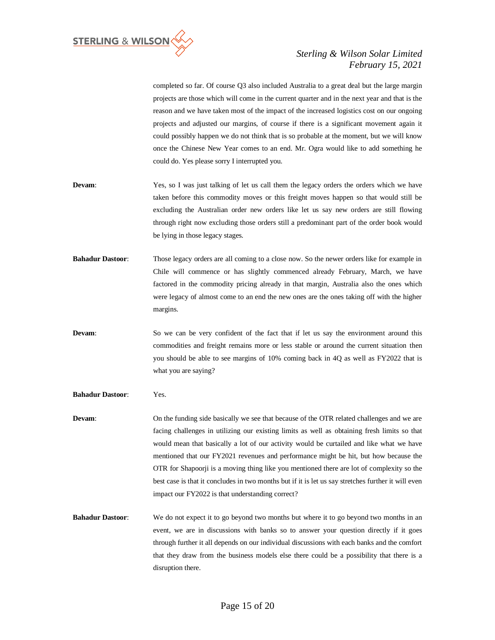

completed so far. Of course Q3 also included Australia to a great deal but the large margin projects are those which will come in the current quarter and in the next year and that is the reason and we have taken most of the impact of the increased logistics cost on our ongoing projects and adjusted our margins, of course if there is a significant movement again it could possibly happen we do not think that is so probable at the moment, but we will know once the Chinese New Year comes to an end. Mr. Ogra would like to add something he could do. Yes please sorry I interrupted you.

- **Devam:** Yes, so I was just talking of let us call them the legacy orders the orders which we have taken before this commodity moves or this freight moves happen so that would still be excluding the Australian order new orders like let us say new orders are still flowing through right now excluding those orders still a predominant part of the order book would be lying in those legacy stages.
- **Bahadur Dastoor**: Those legacy orders are all coming to a close now. So the newer orders like for example in Chile will commence or has slightly commenced already February, March, we have factored in the commodity pricing already in that margin, Australia also the ones which were legacy of almost come to an end the new ones are the ones taking off with the higher margins.
- **Devam:** So we can be very confident of the fact that if let us say the environment around this commodities and freight remains more or less stable or around the current situation then you should be able to see margins of 10% coming back in 4Q as well as FY2022 that is what you are saying?
- **Bahadur Dastoor**: Yes.
- **Devam:** On the funding side basically we see that because of the OTR related challenges and we are facing challenges in utilizing our existing limits as well as obtaining fresh limits so that would mean that basically a lot of our activity would be curtailed and like what we have mentioned that our FY2021 revenues and performance might be hit, but how because the OTR for Shapoorji is a moving thing like you mentioned there are lot of complexity so the best case is that it concludes in two months but if it is let us say stretches further it will even impact our FY2022 is that understanding correct?
- **Bahadur Dastoor:** We do not expect it to go beyond two months but where it to go beyond two months in an event, we are in discussions with banks so to answer your question directly if it goes through further it all depends on our individual discussions with each banks and the comfort that they draw from the business models else there could be a possibility that there is a disruption there.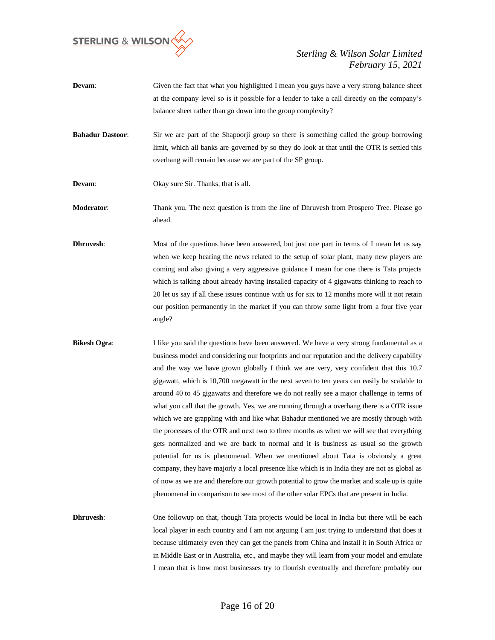

- **Devam:** Given the fact that what you highlighted I mean you guys have a very strong balance sheet at the company level so is it possible for a lender to take a call directly on the company's balance sheet rather than go down into the group complexity?
- **Bahadur Dastoor:** Sir we are part of the Shapoorji group so there is something called the group borrowing limit, which all banks are governed by so they do look at that until the OTR is settled this overhang will remain because we are part of the SP group.
- **Devam:** Okay sure Sir. Thanks, that is all.
- **Moderator**: Thank you. The next question is from the line of Dhruvesh from Prospero Tree. Please go ahead.
- **Dhruvesh:** Most of the questions have been answered, but just one part in terms of I mean let us say when we keep hearing the news related to the setup of solar plant, many new players are coming and also giving a very aggressive guidance I mean for one there is Tata projects which is talking about already having installed capacity of 4 gigawatts thinking to reach to 20 let us say if all these issues continue with us for six to 12 months more will it not retain our position permanently in the market if you can throw some light from a four five year angle?
- **Bikesh Ogra:** I like you said the questions have been answered. We have a very strong fundamental as a business model and considering our footprints and our reputation and the delivery capability and the way we have grown globally I think we are very, very confident that this 10.7 gigawatt, which is 10,700 megawatt in the next seven to ten years can easily be scalable to around 40 to 45 gigawatts and therefore we do not really see a major challenge in terms of what you call that the growth. Yes, we are running through a overhang there is a OTR issue which we are grappling with and like what Bahadur mentioned we are mostly through with the processes of the OTR and next two to three months as when we will see that everything gets normalized and we are back to normal and it is business as usual so the growth potential for us is phenomenal. When we mentioned about Tata is obviously a great company, they have majorly a local presence like which is in India they are not as global as of now as we are and therefore our growth potential to grow the market and scale up is quite phenomenal in comparison to see most of the other solar EPCs that are present in India.
- **Dhruvesh:** One followup on that, though Tata projects would be local in India but there will be each local player in each country and I am not arguing I am just trying to understand that does it because ultimately even they can get the panels from China and install it in South Africa or in Middle East or in Australia, etc., and maybe they will learn from your model and emulate I mean that is how most businesses try to flourish eventually and therefore probably our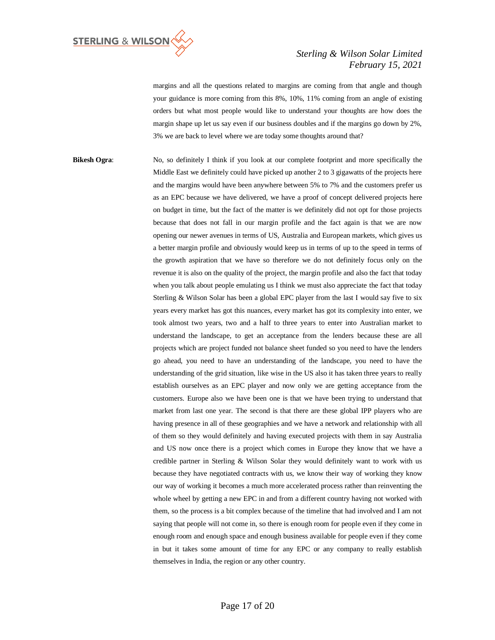

margins and all the questions related to margins are coming from that angle and though your guidance is more coming from this 8%, 10%, 11% coming from an angle of existing orders but what most people would like to understand your thoughts are how does the margin shape up let us say even if our business doubles and if the margins go down by 2%, 3% we are back to level where we are today some thoughts around that?

**Bikesh Ogra:** No, so definitely I think if you look at our complete footprint and more specifically the Middle East we definitely could have picked up another 2 to 3 gigawatts of the projects here and the margins would have been anywhere between 5% to 7% and the customers prefer us as an EPC because we have delivered, we have a proof of concept delivered projects here on budget in time, but the fact of the matter is we definitely did not opt for those projects because that does not fall in our margin profile and the fact again is that we are now opening our newer avenues in terms of US, Australia and European markets, which gives us a better margin profile and obviously would keep us in terms of up to the speed in terms of the growth aspiration that we have so therefore we do not definitely focus only on the revenue it is also on the quality of the project, the margin profile and also the fact that today when you talk about people emulating us I think we must also appreciate the fact that today Sterling & Wilson Solar has been a global EPC player from the last I would say five to six years every market has got this nuances, every market has got its complexity into enter, we took almost two years, two and a half to three years to enter into Australian market to understand the landscape, to get an acceptance from the lenders because these are all projects which are project funded not balance sheet funded so you need to have the lenders go ahead, you need to have an understanding of the landscape, you need to have the understanding of the grid situation, like wise in the US also it has taken three years to really establish ourselves as an EPC player and now only we are getting acceptance from the customers. Europe also we have been one is that we have been trying to understand that market from last one year. The second is that there are these global IPP players who are having presence in all of these geographies and we have a network and relationship with all of them so they would definitely and having executed projects with them in say Australia and US now once there is a project which comes in Europe they know that we have a credible partner in Sterling & Wilson Solar they would definitely want to work with us because they have negotiated contracts with us, we know their way of working they know our way of working it becomes a much more accelerated process rather than reinventing the whole wheel by getting a new EPC in and from a different country having not worked with them, so the process is a bit complex because of the timeline that had involved and I am not saying that people will not come in, so there is enough room for people even if they come in enough room and enough space and enough business available for people even if they come in but it takes some amount of time for any EPC or any company to really establish themselves in India, the region or any other country.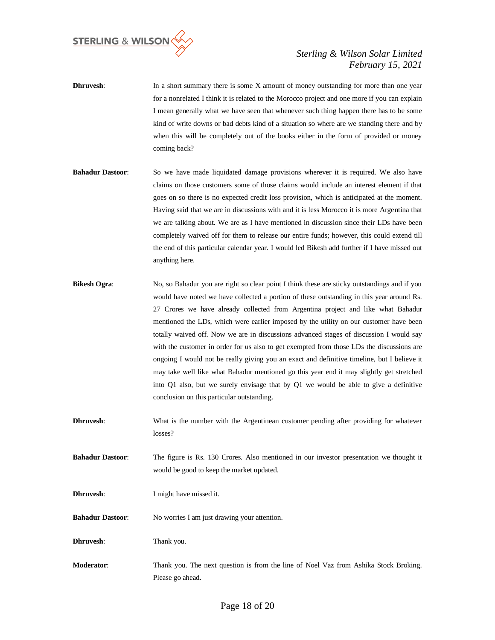

- **Dhruvesh:** In a short summary there is some X amount of money outstanding for more than one year for a nonrelated I think it is related to the Morocco project and one more if you can explain I mean generally what we have seen that whenever such thing happen there has to be some kind of write downs or bad debts kind of a situation so where are we standing there and by when this will be completely out of the books either in the form of provided or money coming back?
- **Bahadur Dastoor:** So we have made liquidated damage provisions wherever it is required. We also have claims on those customers some of those claims would include an interest element if that goes on so there is no expected credit loss provision, which is anticipated at the moment. Having said that we are in discussions with and it is less Morocco it is more Argentina that we are talking about. We are as I have mentioned in discussion since their LDs have been completely waived off for them to release our entire funds; however, this could extend till the end of this particular calendar year. I would led Bikesh add further if I have missed out anything here.
- **Bikesh Ogra:** No, so Bahadur you are right so clear point I think these are sticky outstandings and if you would have noted we have collected a portion of these outstanding in this year around Rs. 27 Crores we have already collected from Argentina project and like what Bahadur mentioned the LDs, which were earlier imposed by the utility on our customer have been totally waived off. Now we are in discussions advanced stages of discussion I would say with the customer in order for us also to get exempted from those LDs the discussions are ongoing I would not be really giving you an exact and definitive timeline, but I believe it may take well like what Bahadur mentioned go this year end it may slightly get stretched into Q1 also, but we surely envisage that by Q1 we would be able to give a definitive conclusion on this particular outstanding.
- **Dhruvesh:** What is the number with the Argentinean customer pending after providing for whatever losses?
- **Bahadur Dastoor**: The figure is Rs. 130 Crores. Also mentioned in our investor presentation we thought it would be good to keep the market updated.
- **Dhruvesh:** I might have missed it.
- **Bahadur Dastoor**: No worries I am just drawing your attention.
- **Dhruvesh**: Thank you.
- **Moderator**: Thank you. The next question is from the line of Noel Vaz from Ashika Stock Broking. Please go ahead.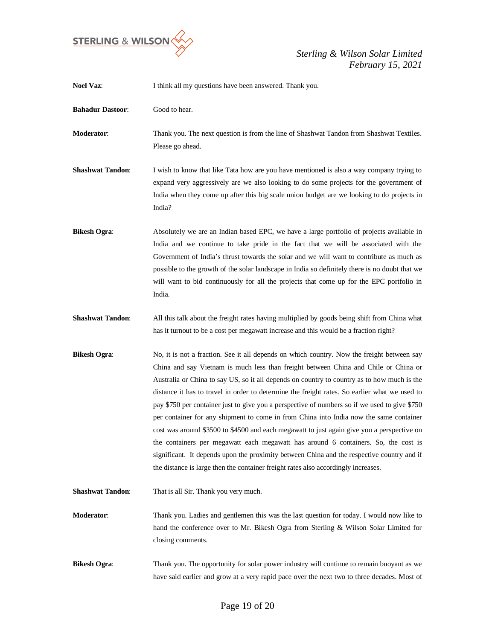

| <b>Noel Vaz:</b>        | I think all my questions have been answered. Thank you.                                                                                                                                                                                                                                                                                                                                                                                                                                                                                                                                                                                                                                                                                                                                                                                                                                                                                              |
|-------------------------|------------------------------------------------------------------------------------------------------------------------------------------------------------------------------------------------------------------------------------------------------------------------------------------------------------------------------------------------------------------------------------------------------------------------------------------------------------------------------------------------------------------------------------------------------------------------------------------------------------------------------------------------------------------------------------------------------------------------------------------------------------------------------------------------------------------------------------------------------------------------------------------------------------------------------------------------------|
| <b>Bahadur Dastoor:</b> | Good to hear.                                                                                                                                                                                                                                                                                                                                                                                                                                                                                                                                                                                                                                                                                                                                                                                                                                                                                                                                        |
| Moderator:              | Thank you. The next question is from the line of Shashwat Tandon from Shashwat Textiles.<br>Please go ahead.                                                                                                                                                                                                                                                                                                                                                                                                                                                                                                                                                                                                                                                                                                                                                                                                                                         |
| <b>Shashwat Tandon:</b> | I wish to know that like Tata how are you have mentioned is also a way company trying to<br>expand very aggressively are we also looking to do some projects for the government of<br>India when they come up after this big scale union budget are we looking to do projects in<br>India?                                                                                                                                                                                                                                                                                                                                                                                                                                                                                                                                                                                                                                                           |
| <b>Bikesh Ogra:</b>     | Absolutely we are an Indian based EPC, we have a large portfolio of projects available in<br>India and we continue to take pride in the fact that we will be associated with the<br>Government of India's thrust towards the solar and we will want to contribute as much as<br>possible to the growth of the solar landscape in India so definitely there is no doubt that we<br>will want to bid continuously for all the projects that come up for the EPC portfolio in<br>India.                                                                                                                                                                                                                                                                                                                                                                                                                                                                 |
| <b>Shashwat Tandon:</b> | All this talk about the freight rates having multiplied by goods being shift from China what<br>has it turnout to be a cost per megawatt increase and this would be a fraction right?                                                                                                                                                                                                                                                                                                                                                                                                                                                                                                                                                                                                                                                                                                                                                                |
| <b>Bikesh Ogra:</b>     | No, it is not a fraction. See it all depends on which country. Now the freight between say<br>China and say Vietnam is much less than freight between China and Chile or China or<br>Australia or China to say US, so it all depends on country to country as to how much is the<br>distance it has to travel in order to determine the freight rates. So earlier what we used to<br>pay \$750 per container just to give you a perspective of numbers so if we used to give \$750<br>per container for any shipment to come in from China into India now the same container<br>cost was around \$3500 to \$4500 and each megawatt to just again give you a perspective on<br>the containers per megawatt each megawatt has around 6 containers. So, the cost is<br>significant. It depends upon the proximity between China and the respective country and if<br>the distance is large then the container freight rates also accordingly increases. |
| <b>Shashwat Tandon:</b> | That is all Sir. Thank you very much.                                                                                                                                                                                                                                                                                                                                                                                                                                                                                                                                                                                                                                                                                                                                                                                                                                                                                                                |
| Moderator:              | Thank you. Ladies and gentlemen this was the last question for today. I would now like to<br>hand the conference over to Mr. Bikesh Ogra from Sterling & Wilson Solar Limited for<br>closing comments.                                                                                                                                                                                                                                                                                                                                                                                                                                                                                                                                                                                                                                                                                                                                               |
| <b>Bikesh Ogra:</b>     | Thank you. The opportunity for solar power industry will continue to remain buoyant as we<br>have said earlier and grow at a very rapid pace over the next two to three decades. Most of                                                                                                                                                                                                                                                                                                                                                                                                                                                                                                                                                                                                                                                                                                                                                             |